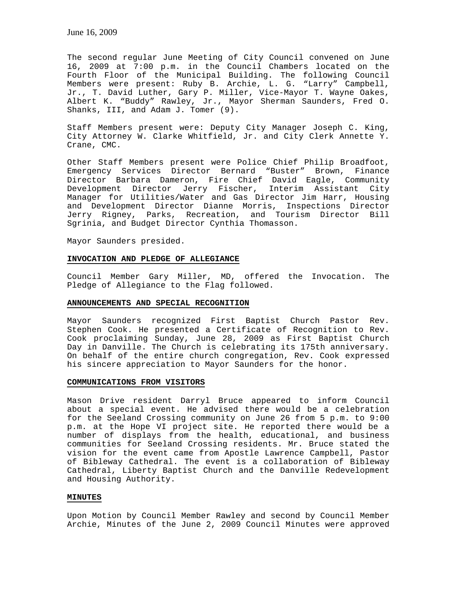The second regular June Meeting of City Council convened on June 16, 2009 at 7:00 p.m. in the Council Chambers located on the Fourth Floor of the Municipal Building. The following Council Members were present: Ruby B. Archie, L. G. "Larry" Campbell, Jr., T. David Luther, Gary P. Miller, Vice-Mayor T. Wayne Oakes, Albert K. "Buddy" Rawley, Jr., Mayor Sherman Saunders, Fred O. Shanks, III, and Adam J. Tomer (9).

Staff Members present were: Deputy City Manager Joseph C. King, City Attorney W. Clarke Whitfield, Jr. and City Clerk Annette Y. Crane, CMC.

Other Staff Members present were Police Chief Philip Broadfoot, Emergency Services Director Bernard "Buster" Brown, Finance Director Barbara Dameron, Fire Chief David Eagle, Community Development Director Jerry Fischer, Interim Assistant City Manager for Utilities/Water and Gas Director Jim Harr, Housing and Development Director Dianne Morris, Inspections Director Jerry Rigney, Parks, Recreation, and Tourism Director Bill Sgrinia, and Budget Director Cynthia Thomasson.

Mayor Saunders presided.

# **INVOCATION AND PLEDGE OF ALLEGIANCE**

Council Member Gary Miller, MD, offered the Invocation. The Pledge of Allegiance to the Flag followed.

#### **ANNOUNCEMENTS AND SPECIAL RECOGNITION**

Mayor Saunders recognized First Baptist Church Pastor Rev. Stephen Cook. He presented a Certificate of Recognition to Rev. Cook proclaiming Sunday, June 28, 2009 as First Baptist Church Day in Danville. The Church is celebrating its 175th anniversary. On behalf of the entire church congregation, Rev. Cook expressed his sincere appreciation to Mayor Saunders for the honor.

# **COMMUNICATIONS FROM VISITORS**

Mason Drive resident Darryl Bruce appeared to inform Council about a special event. He advised there would be a celebration for the Seeland Crossing community on June 26 from 5 p.m. to 9:00 p.m. at the Hope VI project site. He reported there would be a number of displays from the health, educational, and business communities for Seeland Crossing residents. Mr. Bruce stated the vision for the event came from Apostle Lawrence Campbell, Pastor of Bibleway Cathedral. The event is a collaboration of Bibleway Cathedral, Liberty Baptist Church and the Danville Redevelopment and Housing Authority.

#### **MINUTES**

Upon Motion by Council Member Rawley and second by Council Member Archie, Minutes of the June 2, 2009 Council Minutes were approved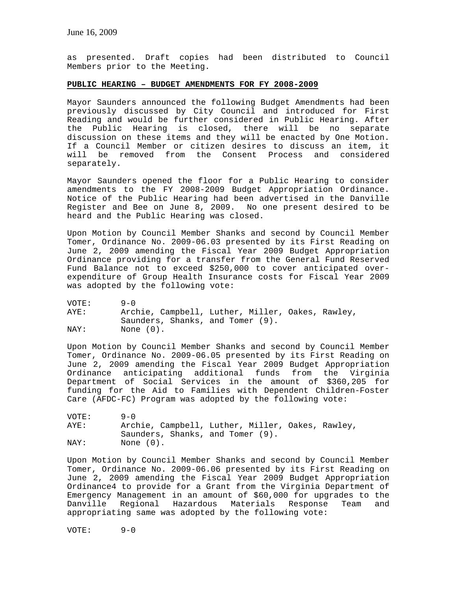as presented. Draft copies had been distributed to Council Members prior to the Meeting.

#### **PUBLIC HEARING – BUDGET AMENDMENTS FOR FY 2008-2009**

Mayor Saunders announced the following Budget Amendments had been previously discussed by City Council and introduced for First Reading and would be further considered in Public Hearing. After the Public Hearing is closed, there will be no separate discussion on these items and they will be enacted by One Motion. If a Council Member or citizen desires to discuss an item, it will be removed from the Consent Process and considered separately.

Mayor Saunders opened the floor for a Public Hearing to consider amendments to the FY 2008-2009 Budget Appropriation Ordinance. Notice of the Public Hearing had been advertised in the Danville Register and Bee on June 8, 2009. No one present desired to be heard and the Public Hearing was closed.

Upon Motion by Council Member Shanks and second by Council Member Tomer, Ordinance No. 2009-06.03 presented by its First Reading on June 2, 2009 amending the Fiscal Year 2009 Budget Appropriation Ordinance providing for a transfer from the General Fund Reserved Fund Balance not to exceed \$250,000 to cover anticipated overexpenditure of Group Health Insurance costs for Fiscal Year 2009 was adopted by the following vote:

VOTE: 9-0<br>AYE: Arcl Archie, Campbell, Luther, Miller, Oakes, Rawley, Saunders, Shanks, and Tomer (9). NAY: None  $(0)$ .

Upon Motion by Council Member Shanks and second by Council Member Tomer, Ordinance No. 2009-06.05 presented by its First Reading on June 2, 2009 amending the Fiscal Year 2009 Budget Appropriation Ordinance anticipating additional funds from the Virginia Department of Social Services in the amount of \$360,205 for funding for the Aid to Families with Dependent Children-Foster Care (AFDC-FC) Program was adopted by the following vote:

VOTE: 9-0 AYE: Archie, Campbell, Luther, Miller, Oakes, Rawley, Saunders, Shanks, and Tomer (9). NAY: None (0).

Upon Motion by Council Member Shanks and second by Council Member Tomer, Ordinance No. 2009-06.06 presented by its First Reading on June 2, 2009 amending the Fiscal Year 2009 Budget Appropriation Ordinance4 to provide for a Grant from the Virginia Department of Emergency Management in an amount of \$60,000 for upgrades to the Danville Regional Hazardous Materials Response Team and appropriating same was adopted by the following vote:

VOTE: 9-0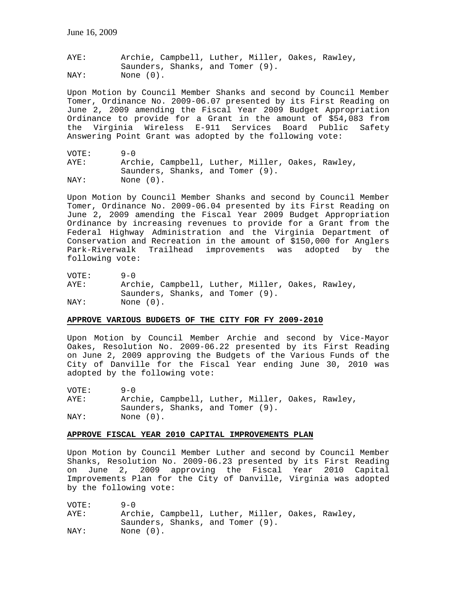AYE: Archie, Campbell, Luther, Miller, Oakes, Rawley, Saunders, Shanks, and Tomer (9). NAY: None (0).

Upon Motion by Council Member Shanks and second by Council Member Tomer, Ordinance No. 2009-06.07 presented by its First Reading on June 2, 2009 amending the Fiscal Year 2009 Budget Appropriation Ordinance to provide for a Grant in the amount of \$54,083 from the Virginia Wireless E-911 Services Board Public Safety Answering Point Grant was adopted by the following vote:

VOTE: 9-0 AYE: Archie, Campbell, Luther, Miller, Oakes, Rawley, Saunders, Shanks, and Tomer (9).<br>NAY: None (0). None (0).

Upon Motion by Council Member Shanks and second by Council Member Tomer, Ordinance No. 2009-06.04 presented by its First Reading on June 2, 2009 amending the Fiscal Year 2009 Budget Appropriation Ordinance by increasing revenues to provide for a Grant from the Federal Highway Administration and the Virginia Department of Conservation and Recreation in the amount of \$150,000 for Anglers Park-Riverwalk Trailhead improvements was adopted by the following vote:

VOTE: 9-0 AYE: Archie, Campbell, Luther, Miller, Oakes, Rawley, Saunders, Shanks, and Tomer (9). NAY: None  $(0)$ .

# **APPROVE VARIOUS BUDGETS OF THE CITY FOR FY 2009-2010**

Upon Motion by Council Member Archie and second by Vice-Mayor Oakes, Resolution No. 2009-06.22 presented by its First Reading on June 2, 2009 approving the Budgets of the Various Funds of the City of Danville for the Fiscal Year ending June 30, 2010 was adopted by the following vote:

VOTE: 9-0 AYE: Archie, Campbell, Luther, Miller, Oakes, Rawley, Saunders, Shanks, and Tomer (9). NAY: None (0).

# **APPROVE FISCAL YEAR 2010 CAPITAL IMPROVEMENTS PLAN**

Upon Motion by Council Member Luther and second by Council Member Shanks, Resolution No. 2009-06.23 presented by its First Reading on June 2, 2009 approving the Fiscal Year 2010 Capital Improvements Plan for the City of Danville, Virginia was adopted by the following vote:

| VOTE: | $9 - 0$                                          |
|-------|--------------------------------------------------|
| AYE:  | Archie, Campbell, Luther, Miller, Oakes, Rawley, |
|       | Saunders, Shanks, and Tomer (9).                 |
| NAY:  | None (0).                                        |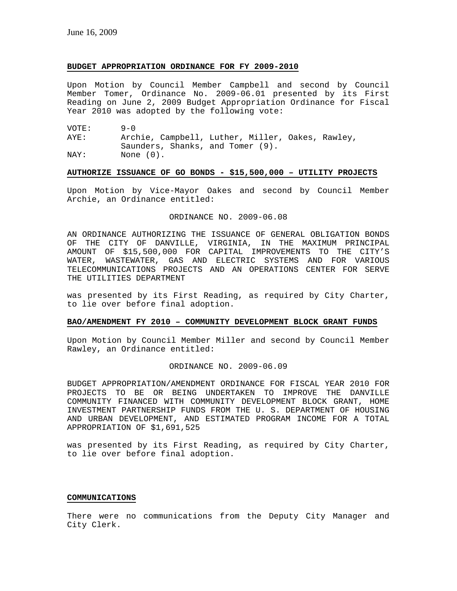# **BUDGET APPROPRIATION ORDINANCE FOR FY 2009-2010**

Upon Motion by Council Member Campbell and second by Council Member Tomer, Ordinance No. 2009-06.01 presented by its First Reading on June 2, 2009 Budget Appropriation Ordinance for Fiscal Year 2010 was adopted by the following vote:

VOTE: 9-0 AYE: Archie, Campbell, Luther, Miller, Oakes, Rawley, Saunders, Shanks, and Tomer (9). NAY: None  $(0)$ .

# **AUTHORIZE ISSUANCE OF GO BONDS - \$15,500,000 – UTILITY PROJECTS**

Upon Motion by Vice-Mayor Oakes and second by Council Member Archie, an Ordinance entitled:

#### ORDINANCE NO. 2009-06.08

AN ORDINANCE AUTHORIZING THE ISSUANCE OF GENERAL OBLIGATION BONDS OF THE CITY OF DANVILLE, VIRGINIA, IN THE MAXIMUM PRINCIPAL AMOUNT OF \$15,500,000 FOR CAPITAL IMPROVEMENTS TO THE CITY'S WATER, WASTEWATER, GAS AND ELECTRIC SYSTEMS AND FOR VARIOUS TELECOMMUNICATIONS PROJECTS AND AN OPERATIONS CENTER FOR SERVE THE UTILITIES DEPARTMENT

was presented by its First Reading, as required by City Charter, to lie over before final adoption.

# **BAO/AMENDMENT FY 2010 – COMMUNITY DEVELOPMENT BLOCK GRANT FUNDS**

Upon Motion by Council Member Miller and second by Council Member Rawley, an Ordinance entitled:

#### ORDINANCE NO. 2009-06.09

BUDGET APPROPRIATION/AMENDMENT ORDINANCE FOR FISCAL YEAR 2010 FOR PROJECTS TO BE OR BEING UNDERTAKEN TO IMPROVE THE DANVILLE COMMUNITY FINANCED WITH COMMUNITY DEVELOPMENT BLOCK GRANT, HOME INVESTMENT PARTNERSHIP FUNDS FROM THE U. S. DEPARTMENT OF HOUSING AND URBAN DEVELOPMENT, AND ESTIMATED PROGRAM INCOME FOR A TOTAL APPROPRIATION OF \$1,691,525

was presented by its First Reading, as required by City Charter, to lie over before final adoption.

# **COMMUNICATIONS**

There were no communications from the Deputy City Manager and City Clerk.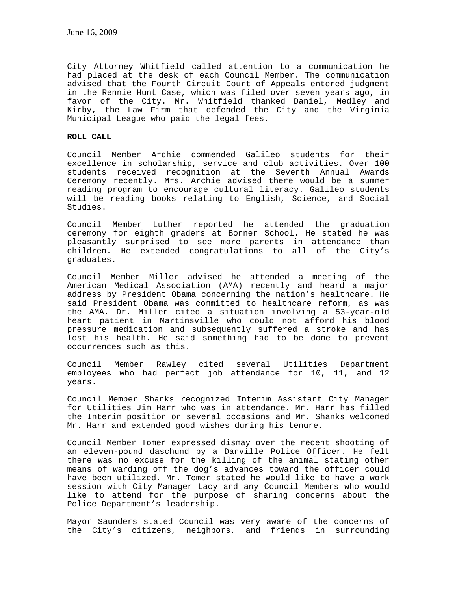City Attorney Whitfield called attention to a communication he had placed at the desk of each Council Member. The communication advised that the Fourth Circuit Court of Appeals entered judgment in the Rennie Hunt Case, which was filed over seven years ago, in favor of the City. Mr. Whitfield thanked Daniel, Medley and Kirby, the Law Firm that defended the City and the Virginia Municipal League who paid the legal fees.

#### **ROLL CALL**

Council Member Archie commended Galileo students for their excellence in scholarship, service and club activities. Over 100 students received recognition at the Seventh Annual Awards Ceremony recently. Mrs. Archie advised there would be a summer reading program to encourage cultural literacy. Galileo students will be reading books relating to English, Science, and Social Studies.

Council Member Luther reported he attended the graduation ceremony for eighth graders at Bonner School. He stated he was pleasantly surprised to see more parents in attendance than children. He extended congratulations to all of the City's graduates.

Council Member Miller advised he attended a meeting of the American Medical Association (AMA) recently and heard a major address by President Obama concerning the nation's healthcare. He said President Obama was committed to healthcare reform, as was the AMA. Dr. Miller cited a situation involving a 53-year-old heart patient in Martinsville who could not afford his blood pressure medication and subsequently suffered a stroke and has lost his health. He said something had to be done to prevent occurrences such as this.

Council Member Rawley cited several Utilities Department employees who had perfect job attendance for 10, 11, and 12 years.

Council Member Shanks recognized Interim Assistant City Manager for Utilities Jim Harr who was in attendance. Mr. Harr has filled the Interim position on several occasions and Mr. Shanks welcomed Mr. Harr and extended good wishes during his tenure.

Council Member Tomer expressed dismay over the recent shooting of an eleven-pound daschund by a Danville Police Officer. He felt there was no excuse for the killing of the animal stating other means of warding off the dog's advances toward the officer could have been utilized. Mr. Tomer stated he would like to have a work session with City Manager Lacy and any Council Members who would like to attend for the purpose of sharing concerns about the Police Department's leadership.

Mayor Saunders stated Council was very aware of the concerns of the City's citizens, neighbors, and friends in surrounding